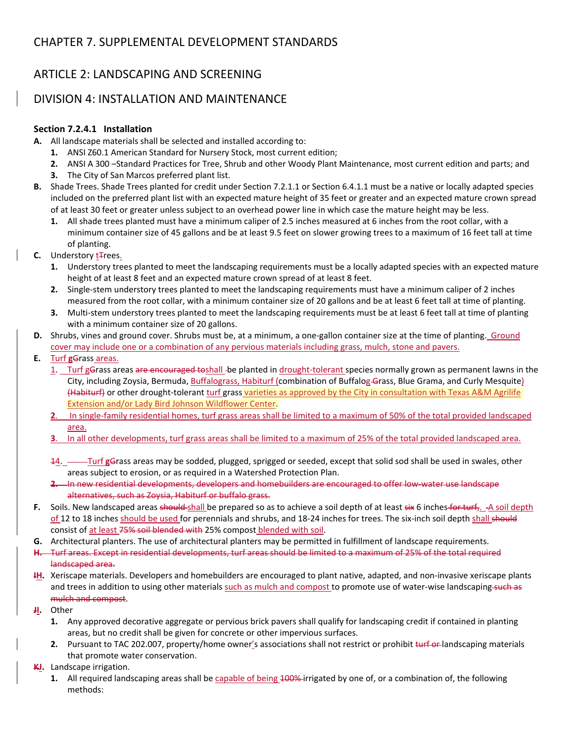# ARTICLE 2: LANDSCAPING AND SCREENING

## DIVISION 4: INSTALLATION AND MAINTENANCE

### **Section 7.2.4.1 Installation**

**A.**  All landscape materials shall be selected and installed according to:

- **1.**  ANSI Z60.1 American Standard for Nursery Stock, most current edition;
- **2.**  ANSI A 300 –Standard Practices for Tree, Shrub and other Woody Plant Maintenance, most current edition and parts; and
- **3.**  The City of San Marcos preferred plant list.
- **B.**  Shade Trees. Shade Trees planted for credit under Section 7.2.1.1 or Section 6.4.1.1 must be a native or locally adapted species included on the preferred plant list with an expected mature height of 35 feet or greater and an expected mature crown spread of at least 30 feet or greater unless subject to an overhead power line in which case the mature height may be less.
	- **1.**  All shade trees planted must have a minimum caliper of 2.5 inches measured at 6 inches from the root collar, with a minimum container size of 45 gallons and be at least 9.5 feet on slower growing trees to a maximum of 16 feet tall at time of planting.
- **C.** Understory **t**Frees.
	- **1.**  Understory trees planted to meet the landscaping requirements must be a locally adapted species with an expected mature height of at least 8 feet and an expected mature crown spread of at least 8 feet.
	- **2.**  Single‐stem understory trees planted to meet the landscaping requirements must have a minimum caliper of 2 inches measured from the root collar, with a minimum container size of 20 gallons and be at least 6 feet tall at time of planting.
	- **3.**  Multi‐stem understory trees planted to meet the landscaping requirements must be at least 6 feet tall at time of planting with a minimum container size of 20 gallons.
- **D.** Shrubs, vines and ground cover. Shrubs must be, at a minimum, a one-gallon container size at the time of planting. Ground cover may include one or a combination of any pervious materials including grass, mulch, stone and pavers.
- **E.**  Turf **g**Grass areas.
	- 1. Turf gGrass areas are encouraged toshall-be planted in drought-tolerant species normally grown as permanent lawns in the City, including Zoysia, Bermuda, Buffalograss, Habiturf (combination of Buffalog-Grass, Blue Grama, and Curly Mesquite) (Habiturf) or other drought‐tolerant turf grass varieties as approved by the City in consultation with Texas A&M Agrilife Extension and/or Lady Bird Johnson Wildflower Center.
	- **2**. In single‐family residential homes, turf grass areas shall be limited to a maximum of 50% of the total provided landscaped area.
	- **3**. In all other developments, turf grass areas shall be limited to a maximum of 25% of the total provided landscaped area.
	- 14. Turf **g**Grass areas may be sodded, plugged, sprigged or seeded, except that solid sod shall be used in swales, other areas subject to erosion, or as required in a Watershed Protection Plan.
	- **2.**  In new residential developments, developers and homebuilders are encouraged to offer low‐water use landscape alternatives, such as Zoysia, Habiturf or buffalo grass.
- **F.** Soils. New landscaped areas should-shall be prepared so as to achieve a soil depth of at least six 6 inches for turf,. A soil depth of 12 to 18 inches should be used for perennials and shrubs, and 18-24 inches for trees. The six-inch soil depth shall should consist of at least 75% soil blended with 25% compost blended with soil.
- **G.**  Architectural planters. The use of architectural planters may be permitted in fulfillment of landscape requirements.
- **H.**  Turf areas. Except in residential developments, turf areas should be limited to a maximum of 25% of the total required landscaped area.
- **IH.**  Xeriscape materials. Developers and homebuilders are encouraged to plant native, adapted, and non‐invasive xeriscape plants and trees in addition to using other materials such as mulch and compost to promote use of water-wise landscaping-such as mulch and compost.
- **JI.**  Other
	- **1.**  Any approved decorative aggregate or pervious brick pavers shall qualify for landscaping credit if contained in planting areas, but no credit shall be given for concrete or other impervious surfaces.
	- **2.** Pursuant to TAC 202.007, property/home owner's associations shall not restrict or prohibit turf or landscaping materials that promote water conservation.
- **KJ.**  Landscape irrigation.
	- **1.**  All required landscaping areas shall be capable of being 100% irrigated by one of, or a combination of, the following methods: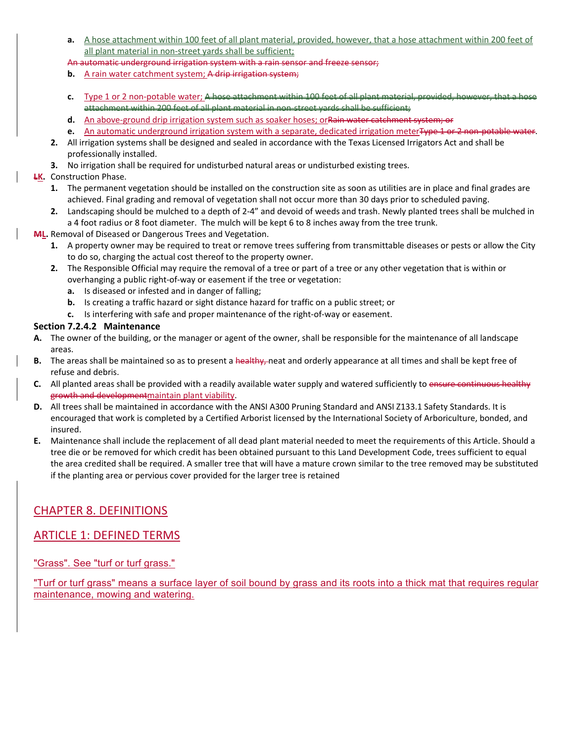- **a.**  A hose attachment within 100 feet of all plant material, provided, however, that a hose attachment within 200 feet of all plant material in non-street yards shall be sufficient;
- An automatic underground irrigation system with a rain sensor and freeze sensor;
- **b.** A rain water catchment system; A drip irrigation system;
- **c.**  Type 1 or 2 non‐potable water; A hose attachment within 100 feet of all plant material, provided, however, that a hose attachment within 200 feet of all plant material in non‐street yards shall be sufficient;
- **d.** An above-ground drip irrigation system such as soaker hoses; orRain water catchment system; or
- **e.** An automatic underground irrigation system with a separate, dedicated irrigation meterType 1 or 2 non-potable water.
- **2.**  All irrigation systems shall be designed and sealed in accordance with the Texas Licensed Irrigators Act and shall be professionally installed.
- **3.**  No irrigation shall be required for undisturbed natural areas or undisturbed existing trees.

#### **LK.**  Construction Phase.

- **1.**  The permanent vegetation should be installed on the construction site as soon as utilities are in place and final grades are achieved. Final grading and removal of vegetation shall not occur more than 30 days prior to scheduled paving.
- **2.**  Landscaping should be mulched to a depth of 2‐4" and devoid of weeds and trash. Newly planted trees shall be mulched in a 4 foot radius or 8 foot diameter. The mulch will be kept 6 to 8 inches away from the tree trunk.
- **ML.** Removal of Diseased or Dangerous Trees and Vegetation.
	- **1.**  A property owner may be required to treat or remove trees suffering from transmittable diseases or pests or allow the City to do so, charging the actual cost thereof to the property owner.
	- **2.**  The Responsible Official may require the removal of a tree or part of a tree or any other vegetation that is within or overhanging a public right‐of‐way or easement if the tree or vegetation:
		- **a.**  Is diseased or infested and in danger of falling;
		- **b.**  Is creating a traffic hazard or sight distance hazard for traffic on a public street; or
		- **c.**  Is interfering with safe and proper maintenance of the right‐of‐way or easement.

#### **Section 7.2.4.2 Maintenance**

- **A.**  The owner of the building, or the manager or agent of the owner, shall be responsible for the maintenance of all landscape areas.
- **B.** The areas shall be maintained so as to present a healthy, neat and orderly appearance at all times and shall be kept free of refuse and debris.
- **C.**  All planted areas shall be provided with a readily available water supply and watered sufficiently to ensure continuous healthy growth and developmentmaintain plant viability.
- **D.**  All trees shall be maintained in accordance with the ANSI A300 Pruning Standard and ANSI Z133.1 Safety Standards. It is encouraged that work is completed by a Certified Arborist licensed by the International Society of Arboriculture, bonded, and insured.
- **E.**  Maintenance shall include the replacement of all dead plant material needed to meet the requirements of this Article. Should a tree die or be removed for which credit has been obtained pursuant to this Land Development Code, trees sufficient to equal the area credited shall be required. A smaller tree that will have a mature crown similar to the tree removed may be substituted if the planting area or pervious cover provided for the larger tree is retained

## CHAPTER 8. DEFINITIONS

## ARTICLE 1: DEFINED TERMS

"Grass". See "turf or turf grass."

"Turf or turf grass" means a surface layer of soil bound by grass and its roots into a thick mat that requires regular maintenance, mowing and watering.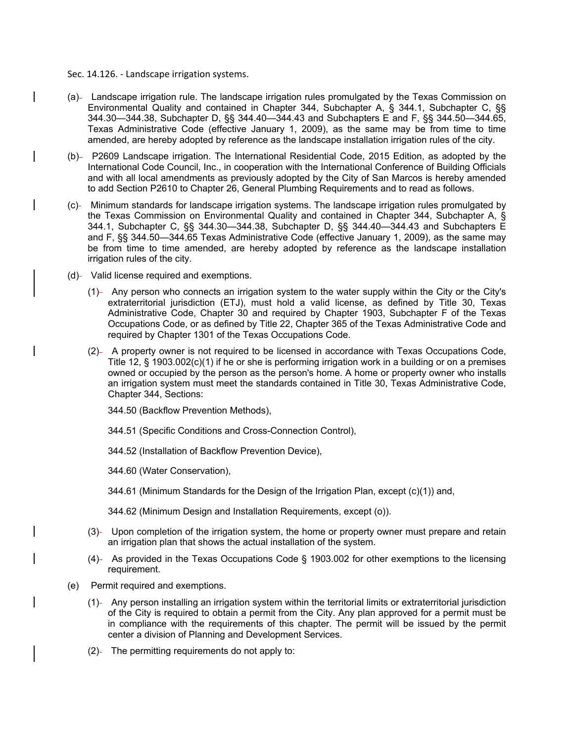Sec. 14.126. - Landscape irrigation systems.

- (a)- Landscape irrigation rule. The landscape irrigation rules promulgated by the Texas Commission on Environmental Quality and contained in Chapter 344, Subchapter A, § 344.1, Subchapter C, §§ 344.30—344.38, Subchapter D, §§ 344.40—344.43 and Subchapters E and F, §§ 344.50—344.65, Texas Administrative Code (effective January 1, 2009), as the same may be from time to time amended, are hereby adopted by reference as the landscape installation irrigation rules of the city.
- (b)- P2609 Landscape irrigation. The International Residential Code, 2015 Edition, as adopted by the International Code Council, Inc., in cooperation with the International Conference of Building Officials and with all local amendments as previously adopted by the City of San Marcos is hereby amended to add Section P2610 to Chapter 26, General Plumbing Requirements and to read as follows.
- (c) Minimum standards for landscape irrigation systems. The landscape irrigation rules promulgated by the Texas Commission on Environmental Quality and contained in Chapter 344, Subchapter A, § 344.1, Subchapter C, §§ 344.30—344.38, Subchapter D, §§ 344.40—344.43 and Subchapters E and F, §§ 344.50—344.65 Texas Administrative Code (effective January 1, 2009), as the same may be from time to time amended, are hereby adopted by reference as the landscape installation irrigation rules of the city.
- (d) Valid license required and exemptions.
	- (1) Any person who connects an irrigation system to the water supply within the City or the City's extraterritorial jurisdiction (ETJ), must hold a valid license, as defined by Title 30, Texas Administrative Code, Chapter 30 and required by Chapter 1903, Subchapter F of the Texas Occupations Code, or as defined by Title 22, Chapter 365 of the Texas Administrative Code and required by Chapter 1301 of the Texas Occupations Code.
	- (2) A property owner is not required to be licensed in accordance with Texas Occupations Code, Title 12, § 1903.002(c)(1) if he or she is performing irrigation work in a building or on a premises owned or occupied by the person as the person's home. A home or property owner who installs an irrigation system must meet the standards contained in Title 30, Texas Administrative Code, Chapter 344, Sections:
		- 344.50 (Backflow Prevention Methods),
		- 344.51 (Specific Conditions and Cross-Connection Control),
		- 344.52 (Installation of Backflow Prevention Device),
		- 344.60 (Water Conservation),
		- 344.61 (Minimum Standards for the Design of the Irrigation Plan, except (c)(1)) and,
		- 344.62 (Minimum Design and Installation Requirements, except (o)).
	- (3) Upon completion of the irrigation system, the home or property owner must prepare and retain an irrigation plan that shows the actual installation of the system.
	- (4) As provided in the Texas Occupations Code § 1903.002 for other exemptions to the licensing requirement.
- (e) Permit required and exemptions.
	- (1) Any person installing an irrigation system within the territorial limits or extraterritorial jurisdiction of the City is required to obtain a permit from the City. Any plan approved for a permit must be in compliance with the requirements of this chapter. The permit will be issued by the permit center a division of Planning and Development Services.
	- $(2)$  The permitting requirements do not apply to: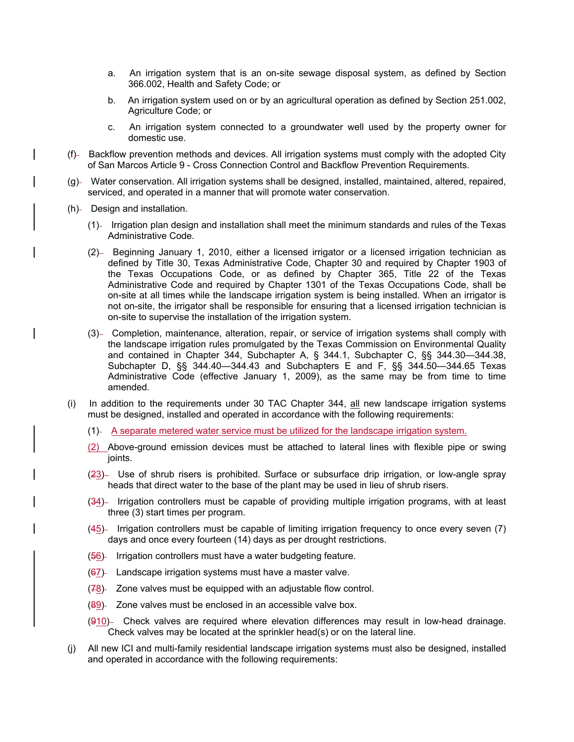- a. An irrigation system that is an on-site sewage disposal system, as defined by Section 366.002, Health and Safety Code; or
- b. An irrigation system used on or by an agricultural operation as defined by Section 251.002, Agriculture Code; or
- c. An irrigation system connected to a groundwater well used by the property owner for domestic use.
- (f) Backflow prevention methods and devices. All irrigation systems must comply with the adopted City of San Marcos Article 9 - Cross Connection Control and Backflow Prevention Requirements.
- (g) Water conservation. All irrigation systems shall be designed, installed, maintained, altered, repaired, serviced, and operated in a manner that will promote water conservation.
- (h)- Design and installation.
	- (1) Irrigation plan design and installation shall meet the minimum standards and rules of the Texas Administrative Code.
	- (2) Beginning January 1, 2010, either a licensed irrigator or a licensed irrigation technician as defined by Title 30, Texas Administrative Code, Chapter 30 and required by Chapter 1903 of the Texas Occupations Code, or as defined by Chapter 365, Title 22 of the Texas Administrative Code and required by Chapter 1301 of the Texas Occupations Code, shall be on-site at all times while the landscape irrigation system is being installed. When an irrigator is not on-site, the irrigator shall be responsible for ensuring that a licensed irrigation technician is on-site to supervise the installation of the irrigation system.
	- (3) Completion, maintenance, alteration, repair, or service of irrigation systems shall comply with the landscape irrigation rules promulgated by the Texas Commission on Environmental Quality and contained in Chapter 344, Subchapter A, § 344.1, Subchapter C, §§ 344.30—344.38, Subchapter D, §§ 344.40—344.43 and Subchapters E and F, §§ 344.50—344.65 Texas Administrative Code (effective January 1, 2009), as the same may be from time to time amended.
- (i) In addition to the requirements under 30 TAC Chapter 344,  $all$  new landscape irrigation systems must be designed, installed and operated in accordance with the following requirements:
	- (1) A separate metered water service must be utilized for the landscape irrigation system.
	- (2) Above-ground emission devices must be attached to lateral lines with flexible pipe or swing joints.
	- (23) Use of shrub risers is prohibited. Surface or subsurface drip irrigation, or low-angle spray heads that direct water to the base of the plant may be used in lieu of shrub risers.
	- (34) Irrigation controllers must be capable of providing multiple irrigation programs, with at least three (3) start times per program.
	- (45) Irrigation controllers must be capable of limiting irrigation frequency to once every seven (7) days and once every fourteen (14) days as per drought restrictions.
	- $(56)$  Irrigation controllers must have a water budgeting feature.
	- $(67)$  Landscape irrigation systems must have a master valve.
	- $(78)$  Zone valves must be equipped with an adjustable flow control.
	- $(89)$  Zone valves must be enclosed in an accessible valve box.
	- $(910)$  Check valves are required where elevation differences may result in low-head drainage. Check valves may be located at the sprinkler head(s) or on the lateral line.
- (j) All new ICI and multi-family residential landscape irrigation systems must also be designed, installed and operated in accordance with the following requirements: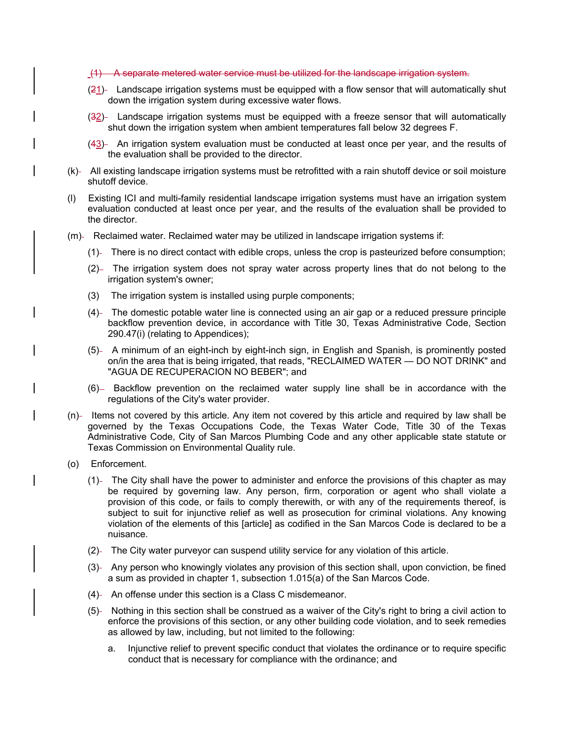(1) A separate metered water service must be utilized for the landscape irrigation system.

- (21) Landscape irrigation systems must be equipped with a flow sensor that will automatically shut down the irrigation system during excessive water flows.
- (32)- Landscape irrigation systems must be equipped with a freeze sensor that will automatically shut down the irrigation system when ambient temperatures fall below 32 degrees F.
- (43)- An irrigation system evaluation must be conducted at least once per year, and the results of the evaluation shall be provided to the director.
- (k)- All existing landscape irrigation systems must be retrofitted with a rain shutoff device or soil moisture shutoff device.
- (l) Existing ICI and multi-family residential landscape irrigation systems must have an irrigation system evaluation conducted at least once per year, and the results of the evaluation shall be provided to the director.
- (m)- Reclaimed water. Reclaimed water may be utilized in landscape irrigation systems if:
	- (1) There is no direct contact with edible crops, unless the crop is pasteurized before consumption;
	- (2)- The irrigation system does not spray water across property lines that do not belong to the irrigation system's owner;
	- (3) The irrigation system is installed using purple components;
	- (4)- The domestic potable water line is connected using an air gap or a reduced pressure principle backflow prevention device, in accordance with Title 30, Texas Administrative Code, Section 290.47(i) (relating to Appendices);
	- (5) A minimum of an eight-inch by eight-inch sign, in English and Spanish, is prominently posted on/in the area that is being irrigated, that reads, "RECLAIMED WATER — DO NOT DRINK" and "AGUA DE RECUPERACION NO BEBER"; and
	- (6) Backflow prevention on the reclaimed water supply line shall be in accordance with the regulations of the City's water provider.
- $(n)$  Items not covered by this article. Any item not covered by this article and required by law shall be governed by the Texas Occupations Code, the Texas Water Code, Title 30 of the Texas Administrative Code, City of San Marcos Plumbing Code and any other applicable state statute or Texas Commission on Environmental Quality rule.
- (o) Enforcement.
	- (1) The City shall have the power to administer and enforce the provisions of this chapter as may be required by governing law. Any person, firm, corporation or agent who shall violate a provision of this code, or fails to comply therewith, or with any of the requirements thereof, is subject to suit for injunctive relief as well as prosecution for criminal violations. Any knowing violation of the elements of this [article] as codified in the San Marcos Code is declared to be a nuisance.
	- (2) The City water purveyor can suspend utility service for any violation of this article.
	- (3) Any person who knowingly violates any provision of this section shall, upon conviction, be fined a sum as provided in chapter 1, subsection 1.015(a) of the San Marcos Code.
	- (4) An offense under this section is a Class C misdemeanor.
	- (5) Nothing in this section shall be construed as a waiver of the City's right to bring a civil action to enforce the provisions of this section, or any other building code violation, and to seek remedies as allowed by law, including, but not limited to the following:
		- a. Injunctive relief to prevent specific conduct that violates the ordinance or to require specific conduct that is necessary for compliance with the ordinance; and